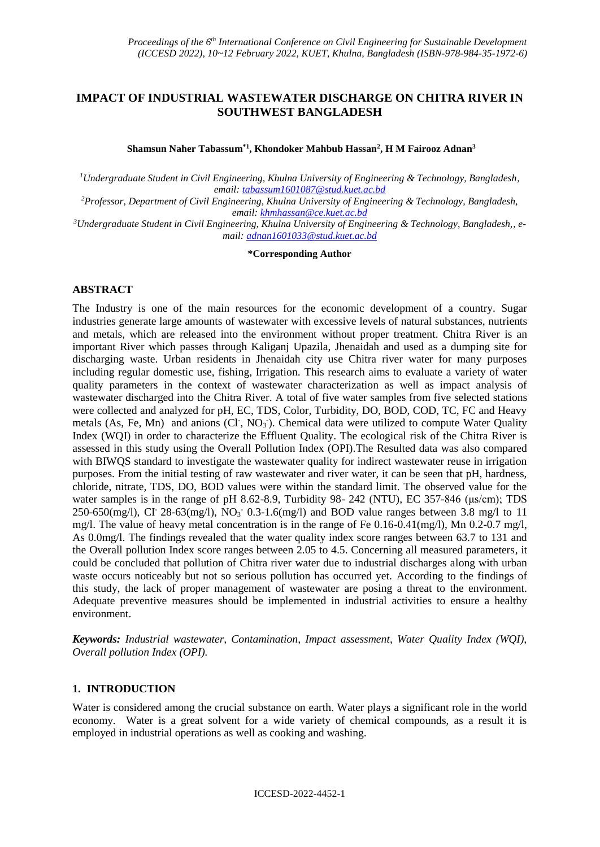# **IMPACT OF INDUSTRIAL WASTEWATER DISCHARGE ON CHITRA RIVER IN SOUTHWEST BANGLADESH**

**Shamsun Naher Tabassum\*1, Khondoker Mahbub Hassan<sup>2</sup> , H M Fairooz Adnan<sup>3</sup>**

*<sup>1</sup>Undergraduate Student in Civil Engineering, Khulna University of Engineering & Technology, Bangladesh, email[: tabassum1601087@stud.kuet.ac.bd](mailto:tabassum1601087@stud.kuet.ac.bd)*

*<sup>2</sup>Professor, Department of Civil Engineering, Khulna University of Engineering & Technology, Bangladesh, email[: khmhassan@ce.kuet.ac.bd](mailto:khmhassan@ce.kuet.ac.bd)*

*3Undergraduate Student in Civil Engineering, Khulna University of Engineering & Technology, Bangladesh,, email: [adnan1601033@stud.kuet.ac.bd](mailto:adnan1601033@stud.kuet.ac.bd)*

#### **\*Corresponding Author**

## **ABSTRACT**

The Industry is one of the main resources for the economic development of a country. Sugar industries generate large amounts of wastewater with excessive levels of natural substances, nutrients and metals, which are released into the environment without proper treatment. Chitra River is an important River which passes through Kaliganj Upazila, Jhenaidah and used as a dumping site for discharging waste. Urban residents in Jhenaidah city use Chitra river water for many purposes including regular domestic use, fishing, Irrigation. This research aims to evaluate a variety of water quality parameters in the context of wastewater characterization as well as impact analysis of wastewater discharged into the Chitra River. A total of five water samples from five selected stations were collected and analyzed for pH, EC, TDS, Color, Turbidity, DO, BOD, COD, TC, FC and Heavy metals (As, Fe, Mn) and anions (Cl<sup>-</sup>, NO<sub>3</sub><sup>-</sup>). Chemical data were utilized to compute Water Quality Index (WQI) in order to characterize the Effluent Quality. The ecological risk of the Chitra River is assessed in this study using the Overall Pollution Index (OPI).The Resulted data was also compared with BIWQS standard to investigate the wastewater quality for indirect wastewater reuse in irrigation purposes. From the initial testing of raw wastewater and river water, it can be seen that pH, hardness, chloride, nitrate, TDS, DO, BOD values were within the standard limit. The observed value for the water samples is in the range of pH 8.62-8.9, Turbidity 98- 242 (NTU), EC 357-846 (μs/cm); TDS 250-650(mg/l), CI<sup>-</sup> 28-63(mg/l), NO<sub>3</sub><sup>-</sup> 0.3-1.6(mg/l) and BOD value ranges between 3.8 mg/l to 11 mg/l. The value of heavy metal concentration is in the range of Fe  $0.16$ -0.41(mg/l), Mn  $0.2$ -0.7 mg/l, As 0.0mg/l. The findings revealed that the water quality index score ranges between 63.7 to 131 and the Overall pollution Index score ranges between 2.05 to 4.5. Concerning all measured parameters, it could be concluded that pollution of Chitra river water due to industrial discharges along with urban waste occurs noticeably but not so serious pollution has occurred yet. According to the findings of this study, the lack of proper management of wastewater are posing a threat to the environment. Adequate preventive measures should be implemented in industrial activities to ensure a healthy environment.

*Keywords: Industrial wastewater, Contamination, Impact assessment, Water Quality Index (WQI), Overall pollution Index (OPI).*

## **1. INTRODUCTION**

Water is considered among the crucial substance on earth. Water plays a significant role in the world economy. Water is a great solvent for a wide variety of chemical compounds, as a result it is employed in industrial operations as well as cooking and washing.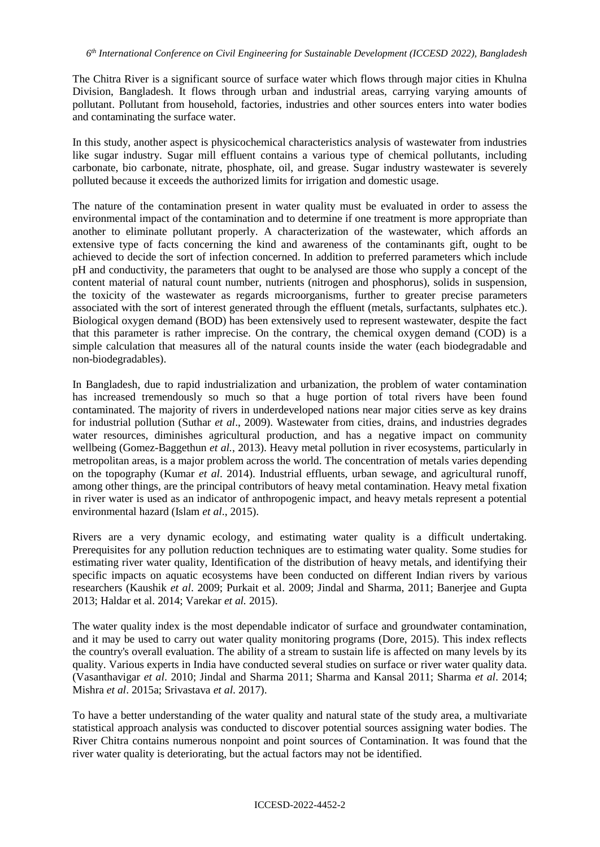The Chitra River is a significant source of surface water which flows through major cities in Khulna Division, Bangladesh. It flows through urban and industrial areas, carrying varying amounts of pollutant. Pollutant from household, factories, industries and other sources enters into water bodies and contaminating the surface water.

In this study, another aspect is physicochemical characteristics analysis of wastewater from industries like sugar industry. Sugar mill effluent contains a various type of chemical pollutants, including carbonate, bio carbonate, nitrate, phosphate, oil, and grease. Sugar industry wastewater is severely polluted because it exceeds the authorized limits for irrigation and domestic usage.

The nature of the contamination present in water quality must be evaluated in order to assess the environmental impact of the contamination and to determine if one treatment is more appropriate than another to eliminate pollutant properly. A characterization of the wastewater, which affords an extensive type of facts concerning the kind and awareness of the contaminants gift, ought to be achieved to decide the sort of infection concerned. In addition to preferred parameters which include pH and conductivity, the parameters that ought to be analysed are those who supply a concept of the content material of natural count number, nutrients (nitrogen and phosphorus), solids in suspension, the toxicity of the wastewater as regards microorganisms, further to greater precise parameters associated with the sort of interest generated through the effluent (metals, surfactants, sulphates etc.). Biological oxygen demand (BOD) has been extensively used to represent wastewater, despite the fact that this parameter is rather imprecise. On the contrary, the chemical oxygen demand (COD) is a simple calculation that measures all of the natural counts inside the water (each biodegradable and non-biodegradables).

In Bangladesh, due to rapid industrialization and urbanization, the problem of water contamination has increased tremendously so much so that a huge portion of total rivers have been found contaminated. The majority of rivers in underdeveloped nations near major cities serve as key drains for industrial pollution (Suthar *et al*., 2009). Wastewater from cities, drains, and industries degrades water resources, diminishes agricultural production, and has a negative impact on community wellbeing (Gomez-Baggethun *et al.*, 2013). Heavy metal pollution in river ecosystems, particularly in metropolitan areas, is a major problem across the world. The concentration of metals varies depending on the topography (Kumar *et al*. 2014). Industrial effluents, urban sewage, and agricultural runoff, among other things, are the principal contributors of heavy metal contamination. Heavy metal fixation in river water is used as an indicator of anthropogenic impact, and heavy metals represent a potential environmental hazard (Islam *et al*., 2015).

Rivers are a very dynamic ecology, and estimating water quality is a difficult undertaking. Prerequisites for any pollution reduction techniques are to estimating water quality. Some studies for estimating river water quality, Identification of the distribution of heavy metals, and identifying their specific impacts on aquatic ecosystems have been conducted on different Indian rivers by various researchers (Kaushik *et al*. 2009; Purkait et al. 2009; Jindal and Sharma, 2011; Banerjee and Gupta 2013; Haldar et al. 2014; Varekar *et al.* 2015).

The water quality index is the most dependable indicator of surface and groundwater contamination, and it may be used to carry out water quality monitoring programs (Dore, 2015). This index reflects the country's overall evaluation. The ability of a stream to sustain life is affected on many levels by its quality. Various experts in India have conducted several studies on surface or river water quality data. (Vasanthavigar *et al*. 2010; Jindal and Sharma 2011; Sharma and Kansal 2011; Sharma *et al*. 2014; Mishra *et al*. 2015a; Srivastava *et al*. 2017).

To have a better understanding of the water quality and natural state of the study area, a multivariate statistical approach analysis was conducted to discover potential sources assigning water bodies. The River Chitra contains numerous nonpoint and point sources of Contamination. It was found that the river water quality is deteriorating, but the actual factors may not be identified.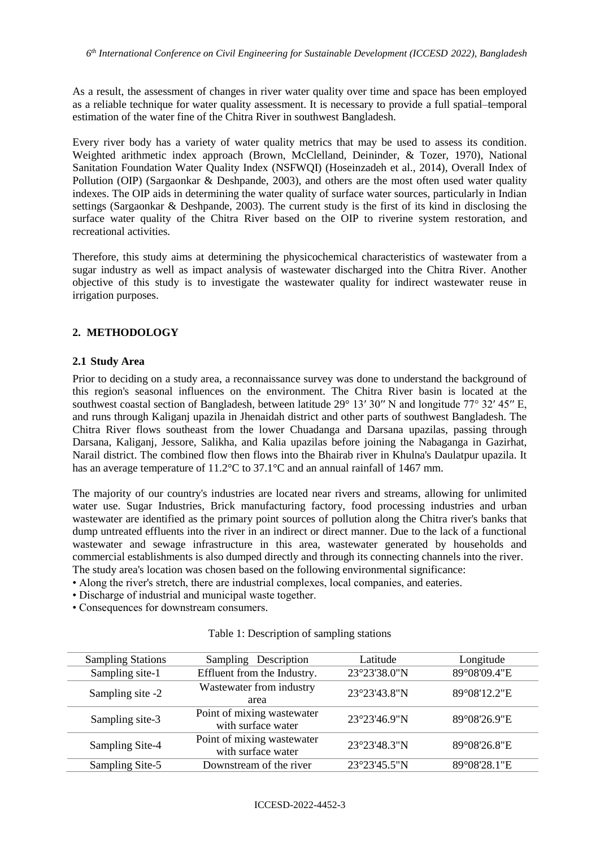As a result, the assessment of changes in river water quality over time and space has been employed as a reliable technique for water quality assessment. It is necessary to provide a full spatial–temporal estimation of the water fine of the Chitra River in southwest Bangladesh.

Every river body has a variety of water quality metrics that may be used to assess its condition. Weighted arithmetic index approach (Brown, McClelland, Deininder, & Tozer, 1970), National Sanitation Foundation Water Quality Index (NSFWQI) (Hoseinzadeh et al., 2014), Overall Index of Pollution (OIP) (Sargaonkar & Deshpande, 2003), and others are the most often used water quality indexes. The OIP aids in determining the water quality of surface water sources, particularly in Indian settings (Sargaonkar & Deshpande, 2003). The current study is the first of its kind in disclosing the surface water quality of the Chitra River based on the OIP to riverine system restoration, and recreational activities.

Therefore, this study aims at determining the physicochemical characteristics of wastewater from a sugar industry as well as impact analysis of wastewater discharged into the Chitra River. Another objective of this study is to investigate the wastewater quality for indirect wastewater reuse in irrigation purposes.

## **2. METHODOLOGY**

### **2.1 Study Area**

Prior to deciding on a study area, a reconnaissance survey was done to understand the background of this region's seasonal influences on the environment. The Chitra River basin is located at the southwest coastal section of Bangladesh, between latitude 29° 13′ 30″ N and longitude 77° 32′ 45″ E, and runs through Kaliganj upazila in Jhenaidah district and other parts of southwest Bangladesh. The Chitra River flows southeast from the lower Chuadanga and Darsana upazilas, passing through Darsana, Kaliganj, Jessore, Salikha, and Kalia upazilas before joining the Nabaganga in Gazirhat, Narail district. The combined flow then flows into the Bhairab river in Khulna's Daulatpur upazila. It has an average temperature of 11.2°C to 37.1°C and an annual rainfall of 1467 mm.

The majority of our country's industries are located near rivers and streams, allowing for unlimited water use. Sugar Industries, Brick manufacturing factory, food processing industries and urban wastewater are identified as the primary point sources of pollution along the Chitra river's banks that dump untreated effluents into the river in an indirect or direct manner. Due to the lack of a functional wastewater and sewage infrastructure in this area, wastewater generated by households and commercial establishments is also dumped directly and through its connecting channels into the river. The study area's location was chosen based on the following environmental significance:

- Along the river's stretch, there are industrial complexes, local companies, and eateries.
- Discharge of industrial and municipal waste together.
- Consequences for downstream consumers.

# Table 1: Description of sampling stations

| <b>Sampling Stations</b> | Sampling Description                             | Latitude               | Longitude    |
|--------------------------|--------------------------------------------------|------------------------|--------------|
| Sampling site-1          | Effluent from the Industry.                      | 23°23'38.0"N           | 89°08'09.4"E |
| Sampling site -2         | Wastewater from industry<br>area                 | 23°23'43.8"N           | 89°08'12.2"E |
|                          |                                                  |                        |              |
| Sampling site-3          | Point of mixing wastewater<br>with surface water | $23^{\circ}23'46.9''N$ | 89°08'26.9"E |
| Sampling Site-4          | Point of mixing wastewater<br>with surface water |                        | 89°08'26.8"E |
| Sampling Site-5          | Downstream of the river                          | $23^{\circ}23'45.5''N$ | 89°08'28.1"E |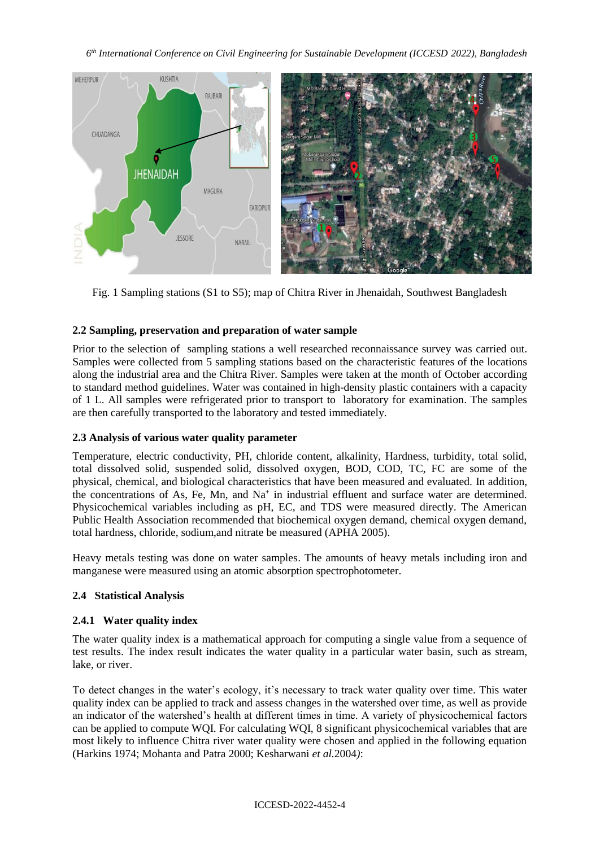*6 th International Conference on Civil Engineering for Sustainable Development (ICCESD 2022), Bangladesh*



Fig. 1 Sampling stations (S1 to S5); map of Chitra River in Jhenaidah, Southwest Bangladesh

# **2.2 Sampling, preservation and preparation of water sample**

Prior to the selection of sampling stations a well researched reconnaissance survey was carried out. Samples were collected from 5 sampling stations based on the characteristic features of the locations along the industrial area and the Chitra River. Samples were taken at the month of October according to standard method guidelines. Water was contained in high-density plastic containers with a capacity of 1 L. All samples were refrigerated prior to transport to laboratory for examination. The samples are then carefully transported to the laboratory and tested immediately.

# **2.3 Analysis of various water quality parameter**

Temperature, electric conductivity, PH, chloride content, alkalinity, Hardness, turbidity, total solid, total dissolved solid, suspended solid, dissolved oxygen, BOD, COD, TC, FC are some of the physical, chemical, and biological characteristics that have been measured and evaluated. In addition, the concentrations of As, Fe, Mn, and Na<sup>+</sup> in industrial effluent and surface water are determined. Physicochemical variables including as pH, EC, and TDS were measured directly. The American Public Health Association recommended that biochemical oxygen demand, chemical oxygen demand, total hardness, chloride, sodium,and nitrate be measured (APHA 2005).

Heavy metals testing was done on water samples. The amounts of heavy metals including iron and manganese were measured using an atomic absorption spectrophotometer.

# **2.4 Statistical Analysis**

# **2.4.1 Water quality index**

The water quality index is a mathematical approach for computing a single value from a sequence of test results. The index result indicates the water quality in a particular water basin, such as stream, lake, or river.

To detect changes in the water's ecology, it's necessary to track water quality over time. This water quality index can be applied to track and assess changes in the watershed over time, as well as provide an indicator of the watershed's health at different times in time. A variety of physicochemical factors can be applied to compute WQI. For calculating WQI, 8 significant physicochemical variables that are most likely to influence Chitra river water quality were chosen and applied in the following equation (Harkins 1974; Mohanta and Patra 2000; Kesharwani *et al.*2004*)*: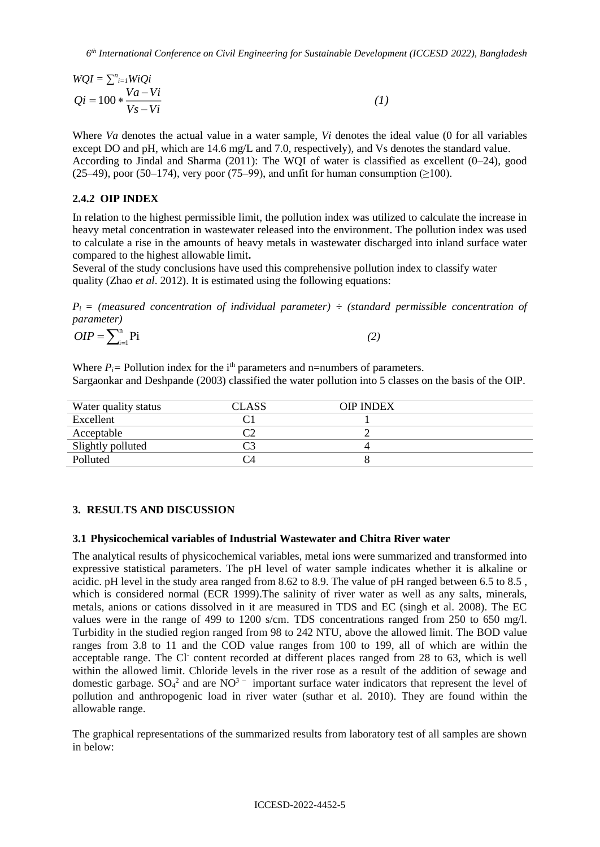$$
WQI = \sum_{i=1}^{n} WiQi
$$
  
\n
$$
Qi = 100 * \frac{Va - Vi}{Vs - Vi}
$$
 (1)

Where *Va* denotes the actual value in a water sample, *Vi* denotes the ideal value (0 for all variables except DO and pH, which are 14.6 mg/L and 7.0, respectively), and Vs denotes the standard value. According to Jindal and Sharma (2011): The WQI of water is classified as excellent (0–24), good  $(25–49)$ , poor  $(50–174)$ , very poor  $(75–99)$ , and unfit for human consumption  $(2100)$ .

### **2.4.2 OIP INDEX**

In relation to the highest permissible limit, the pollution index was utilized to calculate the increase in heavy metal concentration in wastewater released into the environment. The pollution index was used to calculate a rise in the amounts of heavy metals in wastewater discharged into inland surface water compared to the highest allowable limit**.**

Several of the study conclusions have used this comprehensive pollution index to classify water quality (Zhao *et al*. 2012). It is estimated using the following equations:

 $P_i$  = (measured concentration of individual parameter)  $\div$  (standard permissible concentration of *parameter)*

$$
OIP = \sum_{i=1}^{n} \text{Pi} \tag{2}
$$

Where  $P_i$  = Pollution index for the i<sup>th</sup> parameters and n=numbers of parameters. Sargaonkar and Deshpande (2003) classified the water pollution into 5 classes on the basis of the OIP.

| Water quality status | CLASS | <b>OIP INDEX</b> |  |
|----------------------|-------|------------------|--|
| Excellent            |       |                  |  |
| Acceptable           |       |                  |  |
| Slightly polluted    |       |                  |  |
| Polluted             | - 14  |                  |  |

#### **3. RESULTS AND DISCUSSION**

#### **3.1 Physicochemical variables of Industrial Wastewater and Chitra River water**

The analytical results of physicochemical variables, metal ions were summarized and transformed into expressive statistical parameters. The pH level of water sample indicates whether it is alkaline or acidic. pH level in the study area ranged from 8.62 to 8.9. The value of pH ranged between 6.5 to 8.5 , which is considered normal (ECR 1999). The salinity of river water as well as any salts, minerals, metals, anions or cations dissolved in it are measured in TDS and EC (singh et al. 2008). The EC values were in the range of 499 to 1200 s/cm. TDS concentrations ranged from 250 to 650 mg/l. Turbidity in the studied region ranged from 98 to 242 NTU, above the allowed limit. The BOD value ranges from 3.8 to 11 and the COD value ranges from 100 to 199, all of which are within the acceptable range. The Cl content recorded at different places ranged from 28 to 63, which is well within the allowed limit. Chloride levels in the river rose as a result of the addition of sewage and domestic garbage.  $SO_4^2$  and are  $NO_3^2$  important surface water indicators that represent the level of pollution and anthropogenic load in river water (suthar et al. 2010). They are found within the allowable range.

The graphical representations of the summarized results from laboratory test of all samples are shown in below: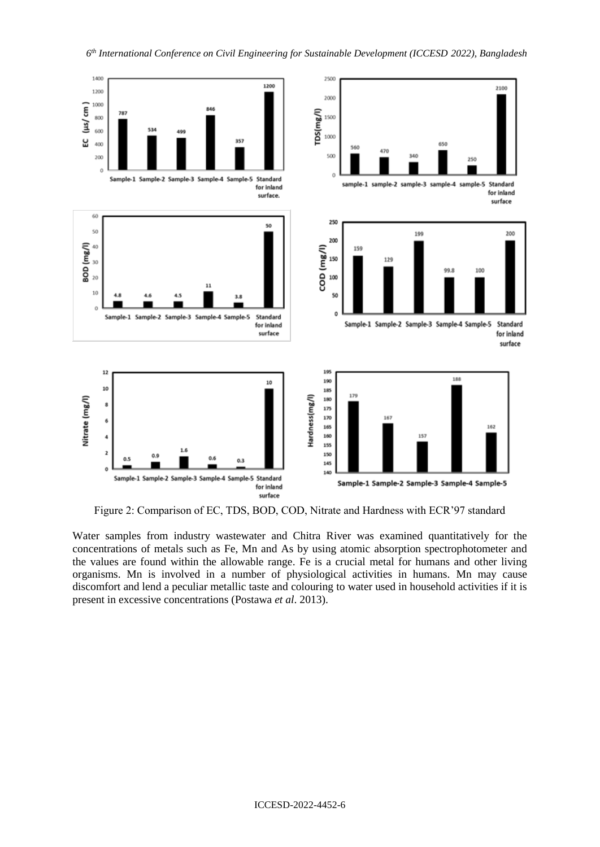

Figure 2: Comparison of EC, TDS, BOD, COD, Nitrate and Hardness with ECR'97 standard

Water samples from industry wastewater and Chitra River was examined quantitatively for the concentrations of metals such as Fe, Mn and As by using atomic absorption spectrophotometer and the values are found within the allowable range. Fe is a crucial metal for humans and other living organisms. Mn is involved in a number of physiological activities in humans. Mn may cause discomfort and lend a peculiar metallic taste and colouring to water used in household activities if it is present in excessive concentrations (Postawa *et al*. 2013).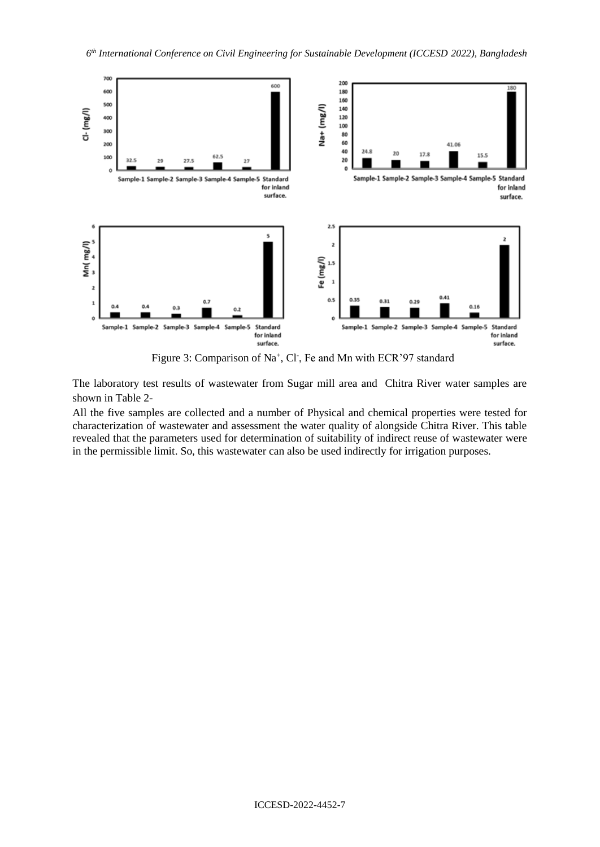

Figure 3: Comparison of Na<sup>+</sup>, Cl<sup>-</sup>, Fe and Mn with ECR'97 standard

The laboratory test results of wastewater from Sugar mill area and Chitra River water samples are shown in Table 2-

All the five samples are collected and a number of Physical and chemical properties were tested for characterization of wastewater and assessment the water quality of alongside Chitra River. This table revealed that the parameters used for determination of suitability of indirect reuse of wastewater were in the permissible limit. So, this wastewater can also be used indirectly for irrigation purposes.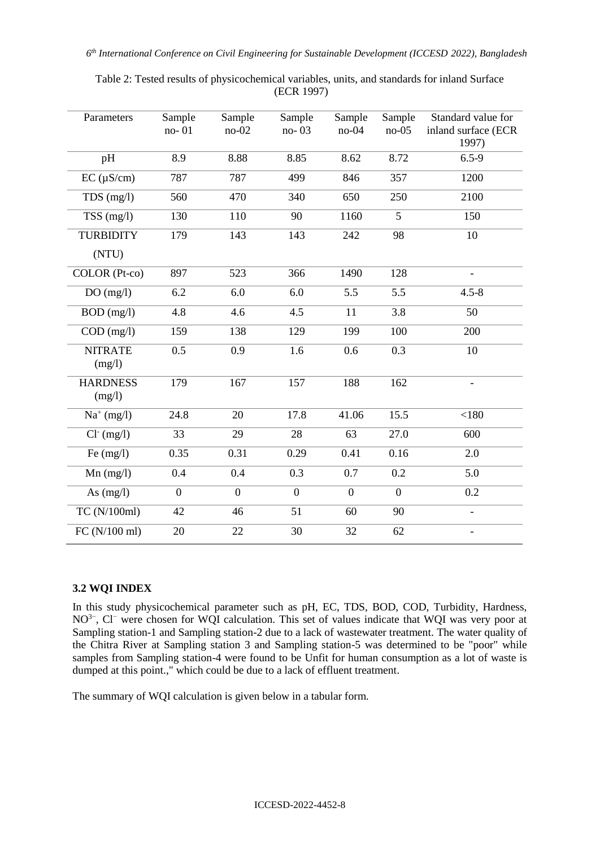| Parameters                     | Sample<br>no-01 | Sample<br>$no-02$ | Sample<br>$no-03$ | Sample<br>$no-04$ | Sample<br>$no-05$ | Standard value for<br>inland surface (ECR<br>1997) |
|--------------------------------|-----------------|-------------------|-------------------|-------------------|-------------------|----------------------------------------------------|
| pH                             | 8.9             | 8.88              | 8.85              | 8.62              | 8.72              | $6.5 - 9$                                          |
| $EC (\mu \overline{S/cm)}$     | 787             | 787               | 499               | 846               | 357               | 1200                                               |
| $TDS$ (mg/l)                   | 560             | 470               | 340               | 650               | 250               | 2100                                               |
| $\overline{\text{TSS}}$ (mg/l) | 130             | 110               | 90                | 1160              | 5                 | 150                                                |
| <b>TURBIDITY</b>               | 179             | 143               | 143               | 242               | 98                | 10                                                 |
| (NTU)                          |                 |                   |                   |                   |                   |                                                    |
| COLOR (Pt-co)                  | 897             | 523               | 366               | 1490              | 128               | $\overline{\phantom{0}}$                           |
| DO(mg/l)                       | 6.2             | 6.0               | 6.0               | 5.5               | 5.5               | $4.5 - 8$                                          |
| $BOD$ (mg/l)                   | 4.8             | 4.6               | 4.5               | 11                | 3.8               | 50                                                 |
| $COD$ (mg/l)                   | 159             | 138               | 129               | 199               | 100               | 200                                                |
| <b>NITRATE</b><br>(mg/l)       | 0.5             | 0.9               | 1.6               | 0.6               | 0.3               | 10                                                 |
| <b>HARDNESS</b><br>(mg/l)      | 179             | 167               | 157               | 188               | 162               | $\overline{\phantom{0}}$                           |
| $Na^+(mg/l)$                   | 24.8            | 20                | 17.8              | 41.06             | 15.5              | < 180                                              |
| $Cl^-(mg/l)$                   | 33              | 29                | 28                | 63                | 27.0              | 600                                                |
| $\overline{F}e$ (mg/l)         | 0.35            | 0.31              | 0.29              | 0.41              | 0.16              | 2.0                                                |
| $Mn$ (mg/l)                    | 0.4             | 0.4               | 0.3               | 0.7               | 0.2               | 5.0                                                |
| As $(mg/l)$                    | $\overline{0}$  | $\overline{0}$    | $\overline{0}$    | $\overline{0}$    | $\overline{0}$    | 0.2                                                |
| TC (N/100ml)                   | 42              | 46                | $\overline{51}$   | 60                | 90                | $\overline{\phantom{0}}$                           |
| FC (N/100 ml)                  | 20              | 22                | 30                | 32                | 62                | $\overline{\phantom{0}}$                           |

Table 2: Tested results of physicochemical variables, units, and standards for inland Surface (ECR 1997)

# **3.2 WQI INDEX**

In this study physicochemical parameter such as pH, EC, TDS, BOD, COD, Turbidity, Hardness, NO<sup>3−</sup>, Cl<sup>−</sup> were chosen for WQI calculation. This set of values indicate that WQI was very poor at Sampling station-1 and Sampling station-2 due to a lack of wastewater treatment. The water quality of the Chitra River at Sampling station 3 and Sampling station-5 was determined to be "poor" while samples from Sampling station-4 were found to be Unfit for human consumption as a lot of waste is dumped at this point.," which could be due to a lack of effluent treatment.

The summary of WQI calculation is given below in a tabular form.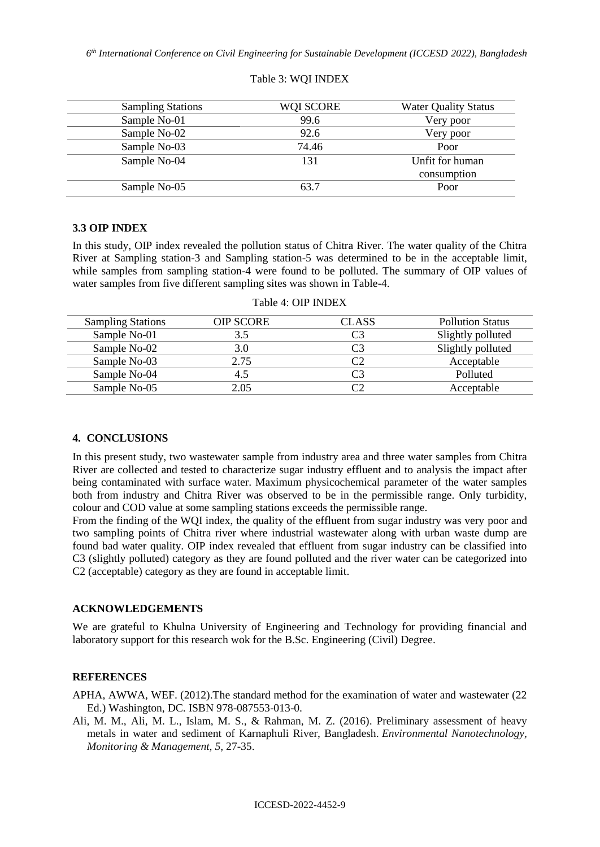| <b>Sampling Stations</b> | WQI SCORE | <b>Water Quality Status</b> |
|--------------------------|-----------|-----------------------------|
| Sample No-01             | 99.6      | Very poor                   |
| Sample No-02             | 92.6      | Very poor                   |
| Sample No-03             | 74.46     | Poor                        |
| Sample No-04             | 131       | Unfit for human             |
|                          |           | consumption                 |
| Sample No-05             | 63.7      | Poor                        |

#### Table 3: WQI INDEX

## **3.3 OIP INDEX**

In this study, OIP index revealed the pollution status of Chitra River. The water quality of the Chitra River at Sampling station-3 and Sampling station-5 was determined to be in the acceptable limit, while samples from sampling station-4 were found to be polluted. The summary of OIP values of water samples from five different sampling sites was shown in Table-4.

| <b>Sampling Stations</b> | <b>OIP SCORE</b> | <b>CLASS</b>   | <b>Pollution Status</b> |
|--------------------------|------------------|----------------|-------------------------|
| Sample No-01             | 3.5              | C <sub>3</sub> | Slightly polluted       |
| Sample No-02             | 3.0              | C3             | Slightly polluted       |
| Sample No-03             | 2.75             |                | Acceptable              |
| Sample No-04             | 4.5              |                | Polluted                |
| Sample No-05             | 2.05             |                | Acceptable              |

### Table 4: OIP INDEX

## **4. CONCLUSIONS**

In this present study, two wastewater sample from industry area and three water samples from Chitra River are collected and tested to characterize sugar industry effluent and to analysis the impact after being contaminated with surface water. Maximum physicochemical parameter of the water samples both from industry and Chitra River was observed to be in the permissible range. Only turbidity, colour and COD value at some sampling stations exceeds the permissible range.

From the finding of the WQI index, the quality of the effluent from sugar industry was very poor and two sampling points of Chitra river where industrial wastewater along with urban waste dump are found bad water quality. OIP index revealed that effluent from sugar industry can be classified into C3 (slightly polluted) category as they are found polluted and the river water can be categorized into C2 (acceptable) category as they are found in acceptable limit.

#### **ACKNOWLEDGEMENTS**

We are grateful to Khulna University of Engineering and Technology for providing financial and laboratory support for this research wok for the B.Sc. Engineering (Civil) Degree.

## **REFERENCES**

APHA, AWWA, WEF. (2012).The standard method for the examination of water and wastewater (22 Ed.) Washington, DC. ISBN 978-087553-013-0.

Ali, M. M., Ali, M. L., Islam, M. S., & Rahman, M. Z. (2016). Preliminary assessment of heavy metals in water and sediment of Karnaphuli River, Bangladesh. *Environmental Nanotechnology, Monitoring & Management*, *5*, 27-35.